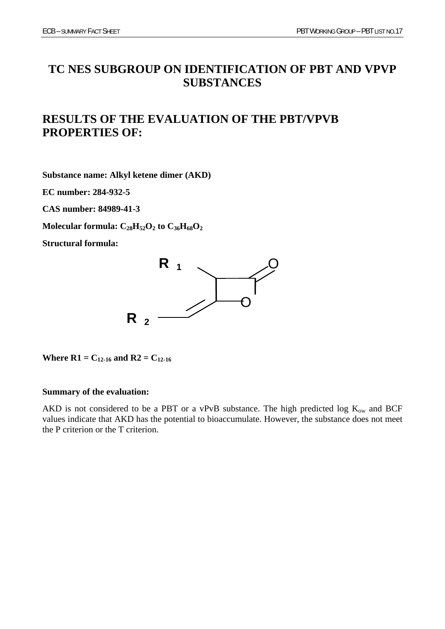# **TC NES SUBGROUP ON IDENTIFICATION OF PBT AND VPVP SUBSTANCES**

# **RESULTS OF THE EVALUATION OF THE PBT/VPVB PROPERTIES OF:**

**Substance name: Alkyl ketene dimer (AKD)** 

**EC number: 284-932-5** 

**CAS number: 84989-41-3** 

Molecular formula:  $C_{28}H_{52}O_2$  to  $C_{36}H_{68}O_2$ 

**Structural formula:** 



**Where R1** =  $C_{12-16}$  and R2 =  $C_{12-16}$ 

### **Summary of the evaluation:**

AKD is not considered to be a PBT or a vPvB substance. The high predicted log  $K_{ow}$  and BCF values indicate that AKD has the potential to bioaccumulate. However, the substance does not meet the P criterion or the T criterion.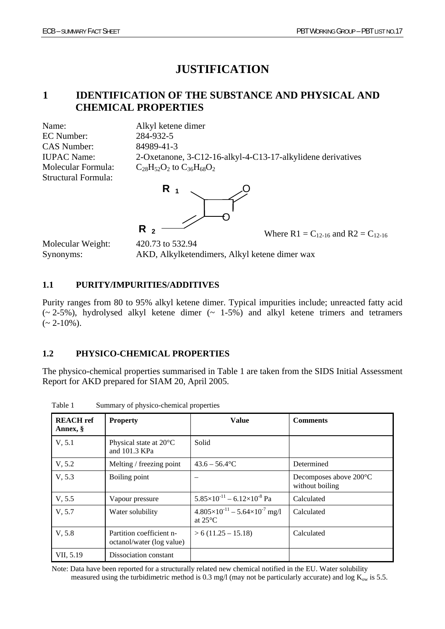# **JUSTIFICATION**

# **1 IDENTIFICATION OF THE SUBSTANCE AND PHYSICAL AND CHEMICAL PROPERTIES**

Name: Alkyl ketene dimer EC Number: 284-932-5 CAS Number: 84989-41-3 Structural Formula:

IUPAC Name: 2-Oxetanone, 3-C12-16-alkyl-4-C13-17-alkylidene derivatives Molecular Formula:  $C_{28}H_{52}O_2$  to  $C_{36}H_{68}O_2$ 



Molecular Weight: 420.73 to 532.94

Synonyms: AKD, Alkylketendimers, Alkyl ketene dimer wax

# **1.1 PURITY/IMPURITIES/ADDITIVES**

Purity ranges from 80 to 95% alkyl ketene dimer. Typical impurities include; unreacted fatty acid  $(-2-5%)$ , hydrolysed alkyl ketene dimer  $(-1-5%)$  and alkyl ketene trimers and tetramers  $(-2-10\%)$ .

# **1.2 PHYSICO-CHEMICAL PROPERTIES**

The physico-chemical properties summarised in Table 1 are taken from the SIDS Initial Assessment Report for AKD prepared for SIAM 20, April 2005.

| <b>REACH</b> ref<br>Annex, § | <b>Property</b>                                       | <b>Value</b>                                                        | <b>Comments</b>                           |
|------------------------------|-------------------------------------------------------|---------------------------------------------------------------------|-------------------------------------------|
| V, 5.1                       | Physical state at 20°C<br>and 101.3 KPa               | Solid                                                               |                                           |
| V, 5.2                       | Melting / freezing point                              | $43.6 - 56.4$ °C                                                    | Determined                                |
| V, 5.3                       | Boiling point                                         |                                                                     | Decomposes above 200°C<br>without boiling |
| V, 5.5                       | Vapour pressure                                       | $5.85\times10^{-11} - 6.12\times10^{-8}$ Pa                         | Calculated                                |
| V, 5.7                       | Water solubility                                      | $4.805\times10^{-11} - 5.64\times10^{-7}$ mg/l<br>at $25^{\circ}$ C | Calculated                                |
| V, 5.8                       | Partition coefficient n-<br>octanol/water (log value) | $> 6(11.25 - 15.18)$                                                | Calculated                                |
| VII, 5.19                    | Dissociation constant                                 |                                                                     |                                           |

Table 1 Summary of physico-chemical properties

Note: Data have been reported for a structurally related new chemical notified in the EU. Water solubility measured using the turbidimetric method is 0.3 mg/l (may not be particularly accurate) and log  $K_{ow}$  is 5.5.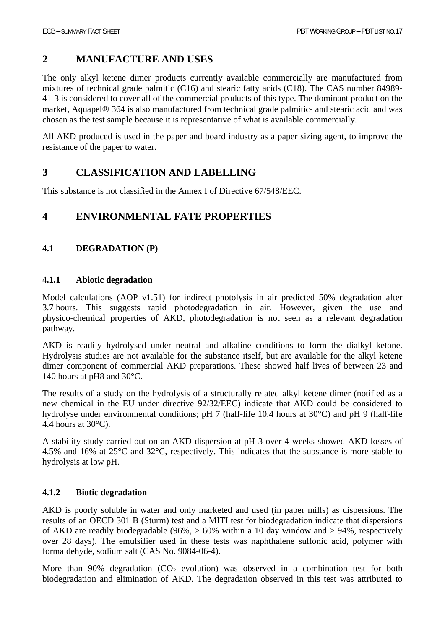# **2 MANUFACTURE AND USES**

The only alkyl ketene dimer products currently available commercially are manufactured from mixtures of technical grade palmitic (C16) and stearic fatty acids (C18). The CAS number 84989- 41-3 is considered to cover all of the commercial products of this type. The dominant product on the market, Aquapel® 364 is also manufactured from technical grade palmitic- and stearic acid and was chosen as the test sample because it is representative of what is available commercially.

All AKD produced is used in the paper and board industry as a paper sizing agent, to improve the resistance of the paper to water.

# **3 CLASSIFICATION AND LABELLING**

This substance is not classified in the Annex I of Directive 67/548/EEC.

# **4 ENVIRONMENTAL FATE PROPERTIES**

## **4.1 DEGRADATION (P)**

### **4.1.1 Abiotic degradation**

Model calculations (AOP v1.51) for indirect photolysis in air predicted 50% degradation after 3.7 hours. This suggests rapid photodegradation in air. However, given the use and physico-chemical properties of AKD, photodegradation is not seen as a relevant degradation pathway.

AKD is readily hydrolysed under neutral and alkaline conditions to form the dialkyl ketone. Hydrolysis studies are not available for the substance itself, but are available for the alkyl ketene dimer component of commercial AKD preparations. These showed half lives of between 23 and 140 hours at pH8 and 30°C.

The results of a study on the hydrolysis of a structurally related alkyl ketene dimer (notified as a new chemical in the EU under directive 92/32/EEC) indicate that AKD could be considered to hydrolyse under environmental conditions; pH 7 (half-life 10.4 hours at 30°C) and pH 9 (half-life 4.4 hours at  $30^{\circ}$ C).

A stability study carried out on an AKD dispersion at pH 3 over 4 weeks showed AKD losses of 4.5% and 16% at 25°C and 32°C, respectively. This indicates that the substance is more stable to hydrolysis at low pH.

## **4.1.2 Biotic degradation**

AKD is poorly soluble in water and only marketed and used (in paper mills) as dispersions. The results of an OECD 301 B (Sturm) test and a MITI test for biodegradation indicate that dispersions of AKD are readily biodegradable (96%,  $> 60\%$  within a 10 day window and  $> 94\%$ , respectively over 28 days). The emulsifier used in these tests was naphthalene sulfonic acid, polymer with formaldehyde, sodium salt (CAS No. 9084-06-4).

More than 90% degradation  $(CO<sub>2</sub>$  evolution) was observed in a combination test for both biodegradation and elimination of AKD. The degradation observed in this test was attributed to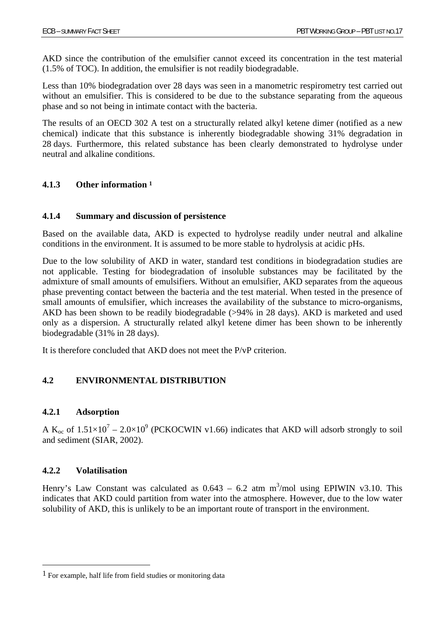AKD since the contribution of the emulsifier cannot exceed its concentration in the test material (1.5% of TOC). In addition, the emulsifier is not readily biodegradable.

Less than 10% biodegradation over 28 days was seen in a manometric respirometry test carried out without an emulsifier. This is considered to be due to the substance separating from the aqueous phase and so not being in intimate contact with the bacteria.

The results of an OECD 302 A test on a structurally related alkyl ketene dimer (notified as a new chemical) indicate that this substance is inherently biodegradable showing 31% degradation in 28 days. Furthermore, this related substance has been clearly demonstrated to hydrolyse under neutral and alkaline conditions.

## **4.1.3 Other information 1**

## **4.1.4 Summary and discussion of persistence**

Based on the available data, AKD is expected to hydrolyse readily under neutral and alkaline conditions in the environment. It is assumed to be more stable to hydrolysis at acidic pHs.

Due to the low solubility of AKD in water, standard test conditions in biodegradation studies are not applicable. Testing for biodegradation of insoluble substances may be facilitated by the admixture of small amounts of emulsifiers. Without an emulsifier, AKD separates from the aqueous phase preventing contact between the bacteria and the test material. When tested in the presence of small amounts of emulsifier, which increases the availability of the substance to micro-organisms, AKD has been shown to be readily biodegradable (>94% in 28 days). AKD is marketed and used only as a dispersion. A structurally related alkyl ketene dimer has been shown to be inherently biodegradable (31% in 28 days).

It is therefore concluded that AKD does not meet the P/vP criterion.

# **4.2 ENVIRONMENTAL DISTRIBUTION**

## **4.2.1 Adsorption**

A K<sub>oc</sub> of  $1.51 \times 10^7 - 2.0 \times 10^9$  (PCKOCWIN v1.66) indicates that AKD will adsorb strongly to soil and sediment (SIAR, 2002).

## **4.2.2 Volatilisation**

Henry's Law Constant was calculated as  $0.643 - 6.2$  atm m<sup>3</sup>/mol using EPIWIN v3.10. This indicates that AKD could partition from water into the atmosphere. However, due to the low water solubility of AKD, this is unlikely to be an important route of transport in the environment.

<sup>1</sup> For example, half life from field studies or monitoring data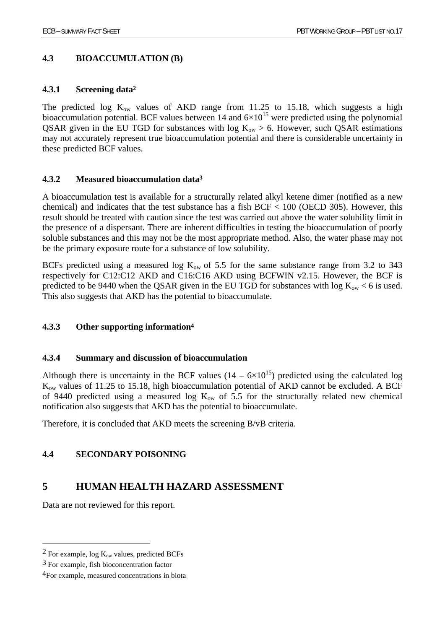## **4.3 BIOACCUMULATION (B)**

### **4.3.1 Screening data2**

The predicted log  $K_{ow}$  values of AKD range from 11.25 to 15.18, which suggests a high bioaccumulation potential. BCF values between  $14$  and  $6 \times 10^{15}$  were predicted using the polynomial QSAR given in the EU TGD for substances with  $log K_{ow} > 6$ . However, such QSAR estimations may not accurately represent true bioaccumulation potential and there is considerable uncertainty in these predicted BCF values.

### **4.3.2 Measured bioaccumulation data3**

A bioaccumulation test is available for a structurally related alkyl ketene dimer (notified as a new chemical) and indicates that the test substance has a fish  $BCF < 100$  (OECD 305). However, this result should be treated with caution since the test was carried out above the water solubility limit in the presence of a dispersant. There are inherent difficulties in testing the bioaccumulation of poorly soluble substances and this may not be the most appropriate method. Also, the water phase may not be the primary exposure route for a substance of low solubility.

BCFs predicted using a measured log  $K_{ow}$  of 5.5 for the same substance range from 3.2 to 343 respectively for C12:C12 AKD and C16:C16 AKD using BCFWIN v2.15. However, the BCF is predicted to be 9440 when the QSAR given in the EU TGD for substances with log  $K_{ow}$  < 6 is used. This also suggests that AKD has the potential to bioaccumulate.

## **4.3.3 Other supporting information4**

### **4.3.4 Summary and discussion of bioaccumulation**

Although there is uncertainty in the BCF values  $(14 - 6 \times 10^{15})$  predicted using the calculated log Kow values of 11.25 to 15.18, high bioaccumulation potential of AKD cannot be excluded. A BCF of 9440 predicted using a measured log  $K_{ow}$  of 5.5 for the structurally related new chemical notification also suggests that AKD has the potential to bioaccumulate.

Therefore, it is concluded that AKD meets the screening B/vB criteria.

# **4.4 SECONDARY POISONING**

# **5 HUMAN HEALTH HAZARD ASSESSMENT**

Data are not reviewed for this report.

 $\overline{a}$ 

 $2$  For example, log  $K_{ow}$  values, predicted BCFs

<sup>3</sup> For example, fish bioconcentration factor

<sup>4</sup>For example, measured concentrations in biota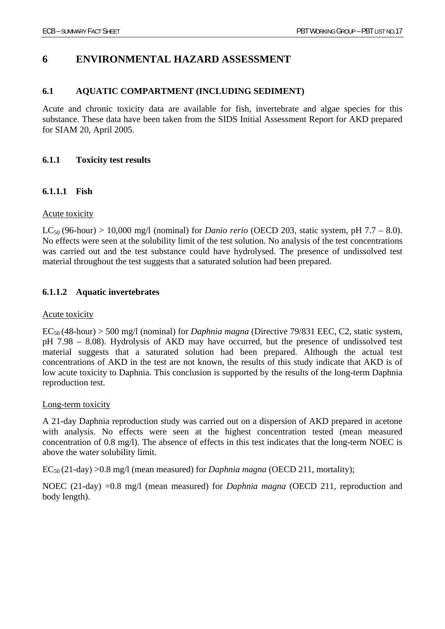# **6 ENVIRONMENTAL HAZARD ASSESSMENT**

### **6.1 AQUATIC COMPARTMENT (INCLUDING SEDIMENT)**

Acute and chronic toxicity data are available for fish, invertebrate and algae species for this substance. These data have been taken from the SIDS Initial Assessment Report for AKD prepared for SIAM 20, April 2005.

### **6.1.1 Toxicity test results**

### **6.1.1.1 Fish**

### Acute toxicity

 $LC_{50}$  (96-hour) > 10,000 mg/l (nominal) for *Danio rerio* (OECD 203, static system, pH 7.7 – 8.0). No effects were seen at the solubility limit of the test solution. No analysis of the test concentrations was carried out and the test substance could have hydrolysed. The presence of undissolved test material throughout the test suggests that a saturated solution had been prepared.

## **6.1.1.2 Aquatic invertebrates**

### Acute toxicity

EC50 (48-hour) > 500 mg/l (nominal) for *Daphnia magna* (Directive 79/831 EEC, C2, static system, pH 7.98 – 8.08). Hydrolysis of AKD may have occurred, but the presence of undissolved test material suggests that a saturated solution had been prepared. Although the actual test concentrations of AKD in the test are not known, the results of this study indicate that AKD is of low acute toxicity to Daphnia. This conclusion is supported by the results of the long-term Daphnia reproduction test.

### Long-term toxicity

A 21-day Daphnia reproduction study was carried out on a dispersion of AKD prepared in acetone with analysis. No effects were seen at the highest concentration tested (mean measured concentration of 0.8 mg/l). The absence of effects in this test indicates that the long-term NOEC is above the water solubility limit.

EC50 (21-day) >0.8 mg/l (mean measured) for *Daphnia magna* (OECD 211, mortality);

NOEC (21-day) =0.8 mg/l (mean measured) for *Daphnia magna* (OECD 211, reproduction and body length).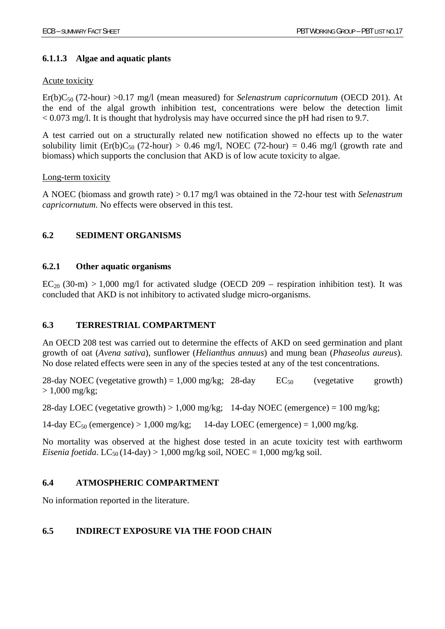## **6.1.1.3 Algae and aquatic plants**

## Acute toxicity

Er(b)C<sub>50</sub> (72-hour) >0.17 mg/l (mean measured) for *Selenastrum capricornutum* (OECD 201). At the end of the algal growth inhibition test, concentrations were below the detection limit < 0.073 mg/l. It is thought that hydrolysis may have occurred since the pH had risen to 9.7.

A test carried out on a structurally related new notification showed no effects up to the water solubility limit (Er(b)C<sub>50</sub> (72-hour) > 0.46 mg/l, NOEC (72-hour) = 0.46 mg/l (growth rate and biomass) which supports the conclusion that AKD is of low acute toxicity to algae.

### Long-term toxicity

A NOEC (biomass and growth rate) > 0.17 mg/l was obtained in the 72-hour test with *Selenastrum capricornutum*. No effects were observed in this test.

# **6.2 SEDIMENT ORGANISMS**

## **6.2.1 Other aquatic organisms**

 $EC_{20}$  (30-m) > 1,000 mg/l for activated sludge (OECD 209 – respiration inhibition test). It was concluded that AKD is not inhibitory to activated sludge micro-organisms.

## **6.3 TERRESTRIAL COMPARTMENT**

An OECD 208 test was carried out to determine the effects of AKD on seed germination and plant growth of oat (*Avena sativa*), sunflower (*Helianthus annuus*) and mung bean (*Phaseolus aureus*). No dose related effects were seen in any of the species tested at any of the test concentrations.

28-day NOEC (vegetative growth) = 1,000 mg/kg; 28-day  $EC_{50}$  (vegetative growth)  $> 1,000 \text{ mg/kg};$ 

28-day LOEC (vegetative growth)  $> 1,000$  mg/kg; 14-day NOEC (emergence) = 100 mg/kg;

14-day  $EC_{50}$  (emergence) > 1,000 mg/kg; 14-day LOEC (emergence) = 1,000 mg/kg.

No mortality was observed at the highest dose tested in an acute toxicity test with earthworm *Eisenia foetida*. LC<sub>50</sub> (14-day) > 1,000 mg/kg soil, NOEC = 1,000 mg/kg soil.

## **6.4 ATMOSPHERIC COMPARTMENT**

No information reported in the literature.

# **6.5 INDIRECT EXPOSURE VIA THE FOOD CHAIN**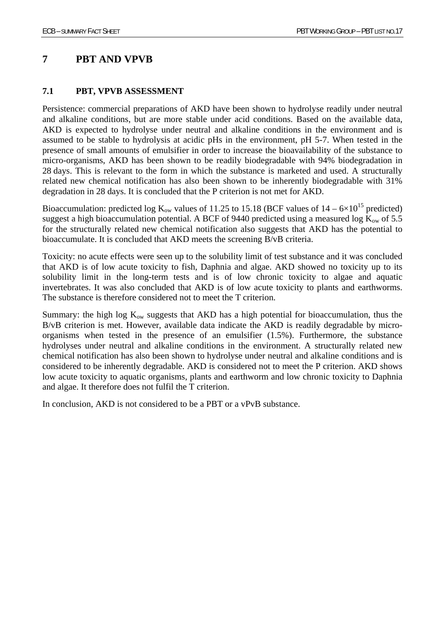# **7 PBT AND VPVB**

## **7.1 PBT, VPVB ASSESSMENT**

Persistence: commercial preparations of AKD have been shown to hydrolyse readily under neutral and alkaline conditions, but are more stable under acid conditions. Based on the available data, AKD is expected to hydrolyse under neutral and alkaline conditions in the environment and is assumed to be stable to hydrolysis at acidic pHs in the environment, pH 5-7. When tested in the presence of small amounts of emulsifier in order to increase the bioavailability of the substance to micro-organisms, AKD has been shown to be readily biodegradable with 94% biodegradation in 28 days. This is relevant to the form in which the substance is marketed and used. A structurally related new chemical notification has also been shown to be inherently biodegradable with 31% degradation in 28 days. It is concluded that the P criterion is not met for AKD.

Bioaccumulation: predicted log  $K_{ow}$  values of 11.25 to 15.18 (BCF values of  $14 - 6 \times 10^{15}$  predicted) suggest a high bioaccumulation potential. A BCF of 9440 predicted using a measured log  $K_{ow}$  of 5.5 for the structurally related new chemical notification also suggests that AKD has the potential to bioaccumulate. It is concluded that AKD meets the screening B/vB criteria.

Toxicity: no acute effects were seen up to the solubility limit of test substance and it was concluded that AKD is of low acute toxicity to fish, Daphnia and algae. AKD showed no toxicity up to its solubility limit in the long-term tests and is of low chronic toxicity to algae and aquatic invertebrates. It was also concluded that AKD is of low acute toxicity to plants and earthworms. The substance is therefore considered not to meet the T criterion.

Summary: the high log  $K_{ow}$  suggests that AKD has a high potential for bioaccumulation, thus the B/vB criterion is met. However, available data indicate the AKD is readily degradable by microorganisms when tested in the presence of an emulsifier (1.5%). Furthermore, the substance hydrolyses under neutral and alkaline conditions in the environment. A structurally related new chemical notification has also been shown to hydrolyse under neutral and alkaline conditions and is considered to be inherently degradable. AKD is considered not to meet the P criterion. AKD shows low acute toxicity to aquatic organisms, plants and earthworm and low chronic toxicity to Daphnia and algae. It therefore does not fulfil the T criterion.

In conclusion, AKD is not considered to be a PBT or a vPvB substance.